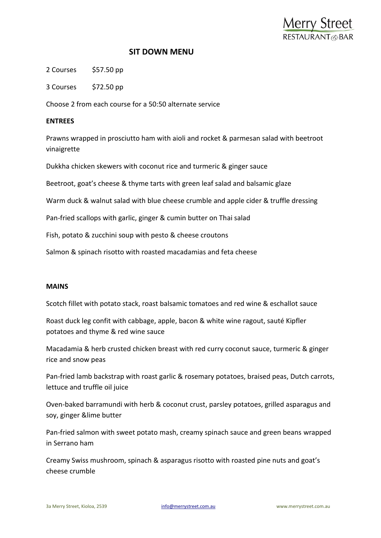

## **SIT DOWN MENU**

2 Courses \$57.50 pp

3 Courses \$72.50 pp

Choose 2 from each course for a 50:50 alternate service

## **ENTREES**

Prawns wrapped in prosciutto ham with aioli and rocket & parmesan salad with beetroot vinaigrette

Dukkha chicken skewers with coconut rice and turmeric & ginger sauce

Beetroot, goat's cheese & thyme tarts with green leaf salad and balsamic glaze

Warm duck & walnut salad with blue cheese crumble and apple cider & truffle dressing

Pan-fried scallops with garlic, ginger & cumin butter on Thai salad

Fish, potato & zucchini soup with pesto & cheese croutons

Salmon & spinach risotto with roasted macadamias and feta cheese

## **MAINS**

Scotch fillet with potato stack, roast balsamic tomatoes and red wine & eschallot sauce

Roast duck leg confit with cabbage, apple, bacon & white wine ragout, sauté Kipfler potatoes and thyme & red wine sauce

Macadamia & herb crusted chicken breast with red curry coconut sauce, turmeric & ginger rice and snow peas

Pan-fried lamb backstrap with roast garlic & rosemary potatoes, braised peas, Dutch carrots, lettuce and truffle oil juice

Oven-baked barramundi with herb & coconut crust, parsley potatoes, grilled asparagus and soy, ginger &lime butter

Pan-fried salmon with sweet potato mash, creamy spinach sauce and green beans wrapped in Serrano ham

Creamy Swiss mushroom, spinach & asparagus risotto with roasted pine nuts and goat's cheese crumble